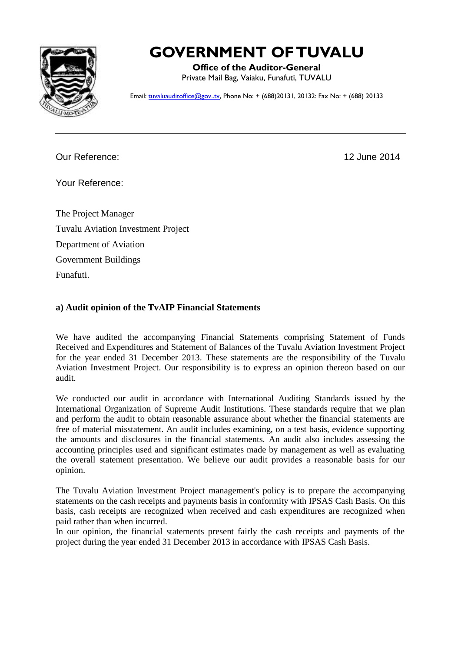

# **GOVERNMENT OF TUVALU**

**Office of the Auditor-General** Private Mail Bag, Vaiaku, Funafuti, TUVALU

Email: [tuvaluauditoffice@gov..tv,](mailto:tuvaluauditoffice@gov..tv) Phone No: + (688)20131, 20132: Fax No: + (688) 20133

Our Reference: 12 June 2014

Your Reference:

The Project Manager Tuvalu Aviation Investment Project Department of Aviation Government Buildings Funafuti.

## **a) Audit opinion of the TvAIP Financial Statements**

We have audited the accompanying Financial Statements comprising Statement of Funds Received and Expenditures and Statement of Balances of the Tuvalu Aviation Investment Project for the year ended 31 December 2013. These statements are the responsibility of the Tuvalu Aviation Investment Project. Our responsibility is to express an opinion thereon based on our audit.

We conducted our audit in accordance with International Auditing Standards issued by the International Organization of Supreme Audit Institutions. These standards require that we plan and perform the audit to obtain reasonable assurance about whether the financial statements are free of material misstatement. An audit includes examining, on a test basis, evidence supporting the amounts and disclosures in the financial statements. An audit also includes assessing the accounting principles used and significant estimates made by management as well as evaluating the overall statement presentation. We believe our audit provides a reasonable basis for our opinion.

The Tuvalu Aviation Investment Project management's policy is to prepare the accompanying statements on the cash receipts and payments basis in conformity with IPSAS Cash Basis. On this basis, cash receipts are recognized when received and cash expenditures are recognized when paid rather than when incurred.

In our opinion, the financial statements present fairly the cash receipts and payments of the project during the year ended 31 December 2013 in accordance with IPSAS Cash Basis.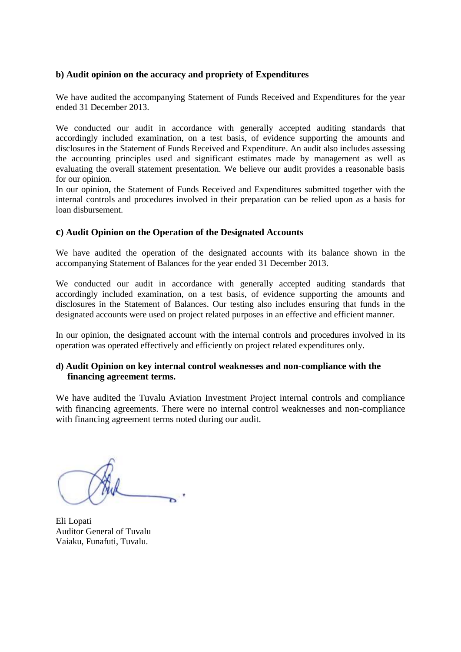#### **b) Audit opinion on the accuracy and propriety of Expenditures**

We have audited the accompanying Statement of Funds Received and Expenditures for the year ended 31 December 2013.

We conducted our audit in accordance with generally accepted auditing standards that accordingly included examination, on a test basis, of evidence supporting the amounts and disclosures in the Statement of Funds Received and Expenditure. An audit also includes assessing the accounting principles used and significant estimates made by management as well as evaluating the overall statement presentation. We believe our audit provides a reasonable basis for our opinion.

In our opinion, the Statement of Funds Received and Expenditures submitted together with the internal controls and procedures involved in their preparation can be relied upon as a basis for loan disbursement.

### **c) Audit Opinion on the Operation of the Designated Accounts**

We have audited the operation of the designated accounts with its balance shown in the accompanying Statement of Balances for the year ended 31 December 2013.

We conducted our audit in accordance with generally accepted auditing standards that accordingly included examination, on a test basis, of evidence supporting the amounts and disclosures in the Statement of Balances. Our testing also includes ensuring that funds in the designated accounts were used on project related purposes in an effective and efficient manner.

In our opinion, the designated account with the internal controls and procedures involved in its operation was operated effectively and efficiently on project related expenditures only.

#### **d) Audit Opinion on key internal control weaknesses and non-compliance with the financing agreement terms.**

We have audited the Tuvalu Aviation Investment Project internal controls and compliance with financing agreements. There were no internal control weaknesses and non-compliance with financing agreement terms noted during our audit.

Eli Lopati Auditor General of Tuvalu Vaiaku, Funafuti, Tuvalu.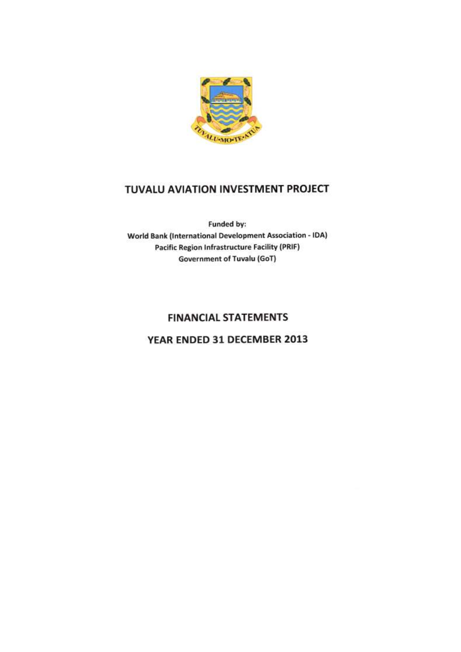

Funded by: **World Bank (International Development Association - IDA) Pacific Region Infrastructure Facility (PRIF) Government of Tuvalu (GoT)** 

## **FINANCIAL STATEMENTS**

## YEAR ENDED 31 DECEMBER 2013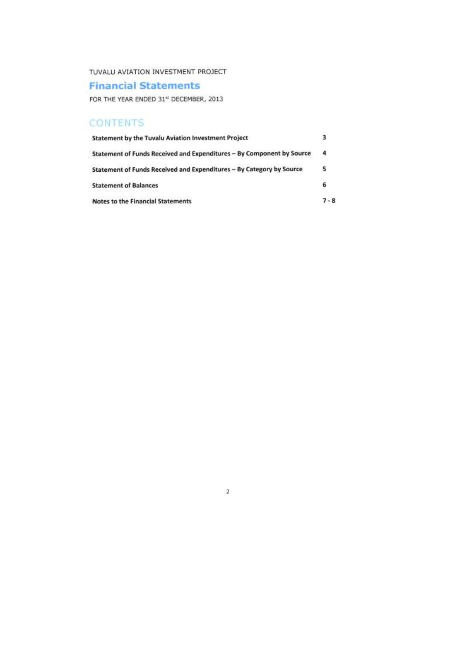## **Financial Statements**

FOR THE YEAR ENDED 31st DECEMBER, 2013

| <b>CONTENTS</b>                                                       |         |
|-----------------------------------------------------------------------|---------|
| Statement by the Tuvalu Aviation Investment Project                   | з       |
| Statement of Funds Received and Expenditures - By Component by Source | 4       |
| Statement of Funds Received and Expenditures - By Category by Source  | 5       |
| <b>Statement of Balances</b>                                          | 6       |
| <b>Notes to the Financial Statements</b>                              | $7 - 8$ |

 $\overline{2}$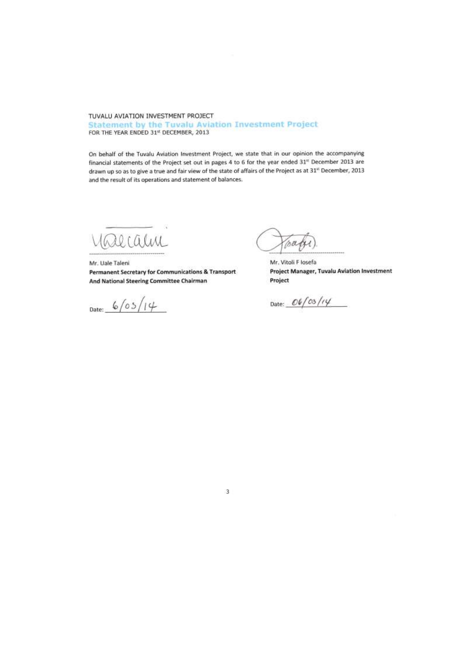#### TUVALU AVIATION INVESTMENT PROJECT **Statement by the Tuvalu Aviation Investment Project** FOR THE YEAR ENDED 31st DECEMBER, 2013

On behalf of the Tuvalu Aviation Investment Project, we state that in our opinion the accompanying financial statements of the Project set out in pages 4 to 6 for the year ended 31<sup>er</sup> December 2013 are drawn up so as to give a true and fair view of the state of affairs of the Project as at 31<sup>xt</sup> December, 2013 and the result of its operations and statement of balances.

Valcam

Mr. Uale Taleni Permanent Secretary for Communications & Transport And National Steering Committee Chairman

Date:  $6/05/14$ 

na

Mr. Vitoli F Iosefa **Project Manager, Tuvalu Aviation Investment** Project

Date:  $06/cs/14$ 

3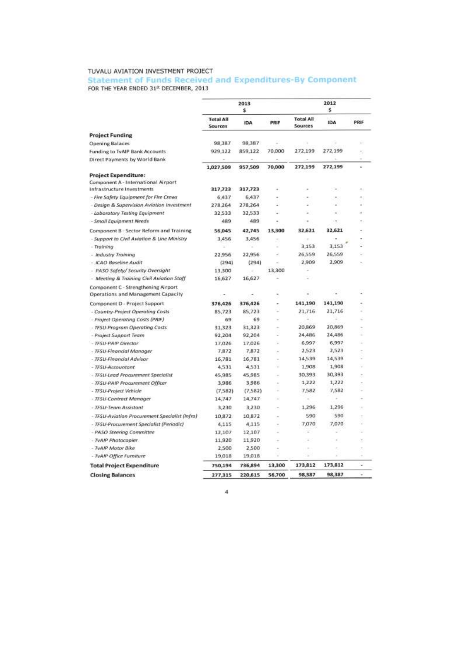Statement of Funds Received and Expenditures-By Component FOR THE YEAR ENDED 31st DECEMBER, 2013

| <b>Project Funding</b><br>Opening Balaces                                 | <b>Total All</b><br><b>Sources</b> |            |                          |                          |            |      |
|---------------------------------------------------------------------------|------------------------------------|------------|--------------------------|--------------------------|------------|------|
|                                                                           |                                    | <b>IDA</b> | PRIF                     | Total All<br>Sources     | <b>IDA</b> | PRIF |
|                                                                           |                                    |            |                          |                          |            |      |
|                                                                           | 98,387                             | 98,387     |                          |                          |            |      |
| Funding to TvAIP Bank Accounts                                            | 929,122                            | 859,122    | 70,000                   | 272,199                  | 272,199    |      |
| Direct Payments by World Bank                                             |                                    |            |                          |                          |            |      |
|                                                                           | 1,027,509                          | 957,509    | 70,000                   | 272,199                  | 272,199    | ÷    |
| <b>Project Expenditure:</b>                                               |                                    |            |                          |                          |            |      |
| Component A - International Airport                                       |                                    |            |                          |                          |            |      |
| Infrastructure Investments                                                | 317,723                            | 317,723    | ٠                        |                          | ٠          | ÷.   |
| - Fire Safety Equipment for Fire Crews                                    | 6,437                              | 6,437      |                          |                          |            |      |
| - Design & Supervision Aviation Investment                                | 278,264                            | 278,264    |                          |                          |            |      |
| - Laboratory Testing Equipment                                            | 32,533                             | 32,533     | ۷                        |                          |            |      |
| - Small Equipment Needs                                                   | 489                                | 489        | $\overline{\phantom{a}}$ | ٠                        | ۰          |      |
| Component B - Sector Reform and Training                                  | 56,045                             | 42,745     | 13,300                   | 32,621                   | 32,621     |      |
| - Support to Civil Aviation & Line Ministry                               | 3,456                              | 3,456      |                          |                          |            |      |
| - Training                                                                |                                    |            |                          | 3,153                    | 3.153      |      |
| - Industry Training                                                       | 22.956                             | 22,956     | ÷                        | 26,559                   | 26,559     |      |
| - ICAO Baseline Audit                                                     | (294)                              | (294)      | i.                       | 2,909                    | 2,909      |      |
| - PASO Safety/ Security Oversight                                         | 13,300                             |            | 13,300                   |                          |            |      |
| - Meeting & Training Civil Aviation Staff                                 | 16,627                             | 16,627     |                          |                          |            |      |
| Component C - Strengthening Airport<br>Operations and Management Capacity | ×                                  |            |                          | ٠                        | ÷          | L.   |
| Component D - Project Support                                             | 376,426                            | 376,426    | ۰                        | 141,190                  | 141,190    |      |
| - Country-Project Operating Costs                                         | 85,723                             | 85,723     | u                        | 21,716                   | 21,716     |      |
| - Project Operating Costs (PRIF)                                          | 69                                 | 69         | ×                        |                          |            |      |
| - TFSU-Program Operating Costs                                            | 31,323                             | 31,323     | ÷                        | 20,869                   | 20,869     |      |
| - Project Support Team                                                    | 92,204                             | 92,204     |                          | 24,486                   | 24,486     |      |
| - TFSU-PAIP Director                                                      | 17,026                             | 17,026     | u                        | 6,997                    | 6,997      | z    |
| - TFSU-Financial Manager                                                  | 7,872                              | 7,872      |                          | 2,523                    | 2,523      |      |
| - TFSU-Financial Advisor                                                  | 16,781                             | 16,781     | $\sim$                   | 14,539                   | 14,539     |      |
| - TFSU-Accountant                                                         | 4,531                              | 4,531      |                          | 1,908                    | 1,908      |      |
| - TFSU-Lead Procurement Specialist                                        | 45,985                             | 45,985     | $\overline{\phantom{a}}$ | 30,393                   | 30,393     |      |
| - TFSU-PAIP Procurement Officer                                           | 3,986                              | 3,986      |                          | 1,222                    | 1,222      |      |
| - TFSU-Project Vehicle                                                    | (7,582)                            | (7,582)    | Ξ                        | 7,582                    | 7,582      |      |
| - TFSU-Contract Manager                                                   | 14,747                             | 14,747     |                          |                          |            |      |
| - TFSU-Team Assistant                                                     | 3,230                              | 3,230      | $\overline{\phantom{a}}$ | 1,296                    | 1,296      |      |
| - TFSU-Aviation Procurement Specialist (Infra)                            | 10,872                             | 10,872     | $\sim$                   | 590                      | 590        |      |
| - TFSU-Procurement Specialist (Periodic)                                  | 4,115                              | 4,115      | ٠                        | 7,070                    | 7.070      |      |
| - PASO Steering Committee                                                 | 12,107                             | 12,107     |                          | $\overline{\phantom{a}}$ |            |      |
| - TvAIP Photocopier                                                       | 11,920                             | 11,920     |                          |                          |            |      |
| - TvAIP Motor Bike                                                        | 2,500                              | 2,500      |                          |                          |            |      |
| - TvAIP Office Furniture                                                  | 19,018                             | 19,018     |                          |                          |            |      |
| <b>Total Project Expenditure</b>                                          | 750,194                            | 736,894    | 13,300                   | 173,812                  | 173,812    | u    |
| <b>Closing Balances</b>                                                   | 277,315                            | 220,615    | 56,700                   | 98,387                   | 98,387     |      |

 $\overline{\mathbf{4}}$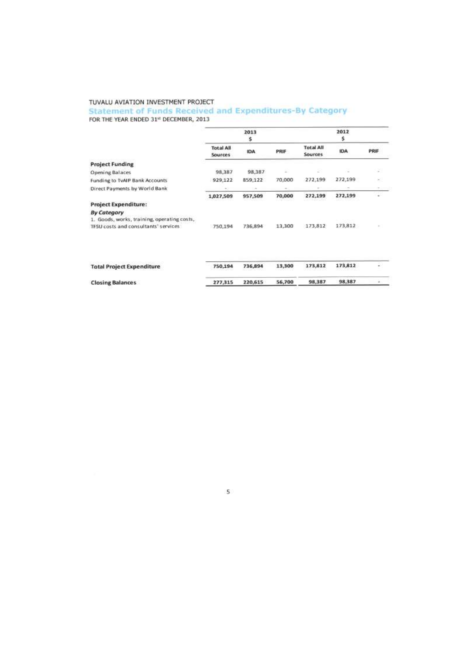#### Statement of Funds Received and Expenditures-By Category

FOR THE YEAR ENDED 31st DECEMBER, 2013

|                                                                                                           |                                    | 2013<br>\$ | 2012<br>\$ |                             |         |        |
|-----------------------------------------------------------------------------------------------------------|------------------------------------|------------|------------|-----------------------------|---------|--------|
|                                                                                                           | <b>Total All</b><br><b>Sources</b> | IDA        | PRIF       | <b>Total All</b><br>Sources | IDA     | PRIF   |
| <b>Project Funding</b>                                                                                    |                                    |            |            |                             |         |        |
| Opening Balaces                                                                                           | 98,387                             | 98,387     | ä          | E                           | $\sim$  | z      |
| Funding to TvAIP Bank Accounts                                                                            | 929,122                            | 859,122    | 70,000     | 272,199                     | 272,199 | $\sim$ |
| Direct Payments by World Bank                                                                             | $\sim$                             |            |            |                             |         |        |
|                                                                                                           | 1,027,509                          | 957,509    | 70,000     | 272,199                     | 272,199 |        |
| <b>Project Expenditure:</b>                                                                               |                                    |            |            |                             |         |        |
| <b>By Category</b><br>1. Goods, works, training, operating costs,<br>TFSU costs and consultants' services | 750,194                            | 736,894    | 13,300     | 173,812                     | 173,812 |        |
| <b>Total Project Expenditure</b>                                                                          | 750,194                            | 736,894    | 13,300     | 173,812                     | 173,812 |        |
| <b>Closing Balances</b>                                                                                   | 277,315                            | 220,615    | 56,700     | 98,387                      | 98,387  |        |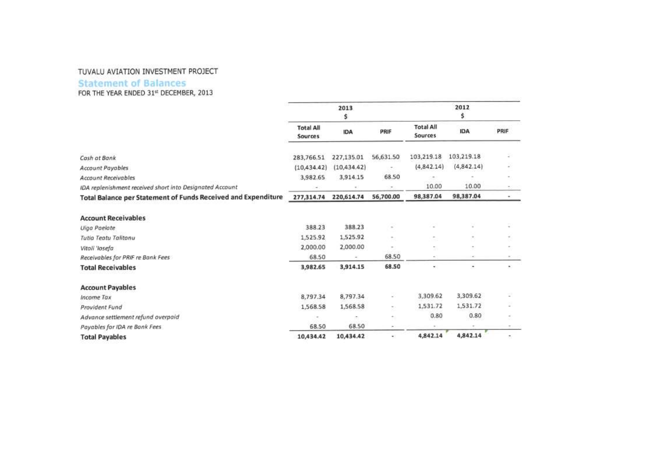### **Statement of Balances**

FOR THE YEAR ENDED 31st DECEMBER, 2013

|                                                               |                                    | 2013<br>\$   |           |                             | 2012<br>\$   |                          |
|---------------------------------------------------------------|------------------------------------|--------------|-----------|-----------------------------|--------------|--------------------------|
|                                                               | <b>Total All</b><br><b>Sources</b> | IDA          | PRIF      | <b>Total All</b><br>Sources | <b>IDA</b>   | PRIF                     |
| Cash at Bank                                                  | 283,766.51                         | 227,135.01   | 56,631.50 | 103,219.18                  | 103,219.18   | ä                        |
| Account Payables                                              | (10, 434.42)                       | (10, 434.42) |           | (4,842.14)                  | (4, 842, 14) | ×                        |
| <b>Account Receivables</b>                                    | 3,982.65                           | 3,914.15     | 68.50     |                             |              | ۰                        |
| IDA replenishment received short into Designated Account      |                                    |              |           | 10.00                       | 10.00        | 影                        |
| Total Balance per Statement of Funds Received and Expenditure | 277,314.74                         | 220,614.74   | 56,700.00 | 98,387.04                   | 98,387.04    | ۰                        |
| <b>Account Receivables</b>                                    |                                    |              |           |                             |              |                          |
| <b>Uiga Paelate</b>                                           | 388.23                             | 388.23       | ٠         |                             | ä,           |                          |
| Tutio Teatu Talitonu                                          | 1,525.92                           | 1,525.92     | ×.        | t.                          |              |                          |
| Vitali 'losefa                                                | 2,000.00                           | 2,000.00     | $\sim$    | s,                          | ۰            |                          |
| Receivables for PRIF re Bank Fees                             | 68.50                              |              | 68.50     | e.                          |              |                          |
| <b>Total Receivables</b>                                      | 3,982.65                           | 3,914.15     | 68.50     | ۰                           | ۰            | ٠                        |
| <b>Account Payables</b>                                       |                                    |              |           |                             |              |                          |
| Income Tax                                                    | 8,797.34                           | 8,797.34     | w.        | 3,309.62                    | 3,309.62     |                          |
| Provident Fund                                                | 1,568.58                           | 1,568.58     | ٠,        | 1,531.72                    | 1,531.72     |                          |
| Advance settlement refund overpaid                            |                                    |              | ٠         | 0.80                        | 0.80         | ÷.                       |
| Payables for IDA re Bank Fees                                 | 68.50                              | 68.50        | ×         | $\sim$                      | $\sim$       | ۰                        |
| <b>Total Payables</b>                                         | 10,434.42                          | 10,434.42    | ÷.        | 4,842.14                    | 4,842.14     | $\overline{\phantom{a}}$ |
|                                                               |                                    |              |           |                             |              |                          |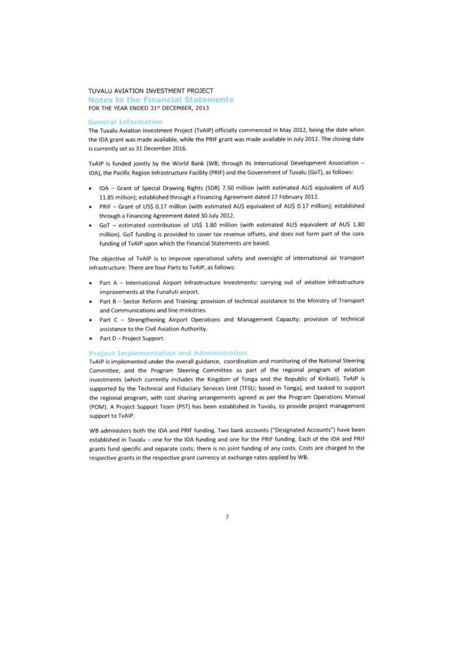Notes to the Financial Statements FOR THE YEAR ENDED 31st DECEMBER, 2013

#### **General Information**

The Tuvalu Aviation investment Project (TvAIP) officially commenced in May 2012, being the date when the IDA grant was made available, while the PRIF grant was made available in July 2012. The closing date is currently set as 31 December 2016.

TvAIP is funded jointly by the World Bank (WB; through its International Development Association -IDA), the Pacific Region Infrastructure Facility (PRIF) and the Government of Tuvalu (GoT), as follows:

- . IDA Grant of Special Drawing Rights (SDR) 7.50 million (with estimated AUS equivalent of AUS 11.85 million); established through a Financing Agreement dated 17 February 2012.
- PRIF Grant of US\$ 0.17 million (with estimated AU\$ equivalent of AU\$ 0.17 million); established through a Financing Agreement dated 30 July 2012.
- GoT estimated contribution of US\$ 1.80 million (with estimated AU\$ equivalent of AU\$ 1.80 million). GoT funding is provided to cover tax revenue offsets, and does not form part of the core funding of TvAIP upon which the Financial Statements are based.

The objective of TvAIP is to improve operational safety and oversight of international air transport infrastructure. There are four Parts to TvAIP, as follows:

- . Part A International Airport Infrastructure Investments: carrying out of aviation infrastructure improvements at the Funafuti airport.
- . Part B Sector Reform and Training: provision of technical assistance to the Ministry of Transport and Communications and line ministries.
- . Part C Strengthening Airport Operations and Management Capacity: provision of technical assistance to the Civil Aviation Authority.
- · Part D Project Support.

#### **Project Implementation and Administration**

TvAIP is implemented under the overall guidance, coordination and monitoring of the National Steering Committee, and the Program Steering Committee as part of the regional program of aviation investments (which currently includes the Kingdom of Tonga and the Republic of Kiribati). TvAIP is supported by the Technical and Fiduciary Services Unit (TFSU; based in Tonga), and tasked to support the regional program, with cost sharing arrangements agreed as per the Program Operations Manual (POM). A Project Support Team (PST) has been established in Tuvalu, to provide project management support to TvAIP.

WB administers both the IDA and PRIF funding. Two bank accounts ("Designated Accounts") have been established in Tuvalu - one for the IDA funding and one for the PRIF funding. Each of the IDA and PRIF grants fund specific and separate costs; there is no joint funding of any costs. Costs are charged to the respective grants in the respective grant currency at exchange rates applied by WB.